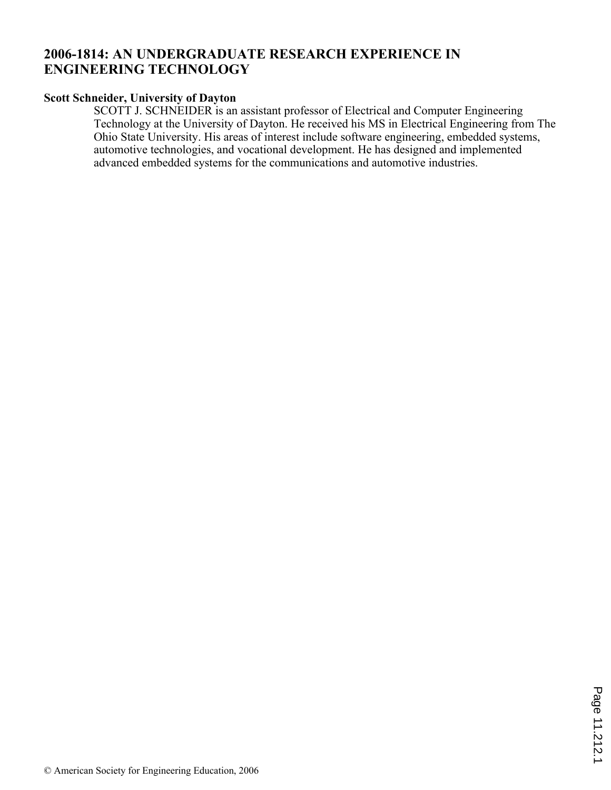# **2006-1814: AN UNDERGRADUATE RESEARCH EXPERIENCE IN ENGINEERING TECHNOLOGY**

### **Scott Schneider, University of Dayton**

SCOTT J. SCHNEIDER is an assistant professor of Electrical and Computer Engineering Technology at the University of Dayton. He received his MS in Electrical Engineering from The Ohio State University. His areas of interest include software engineering, embedded systems, automotive technologies, and vocational development. He has designed and implemented advanced embedded systems for the communications and automotive industries.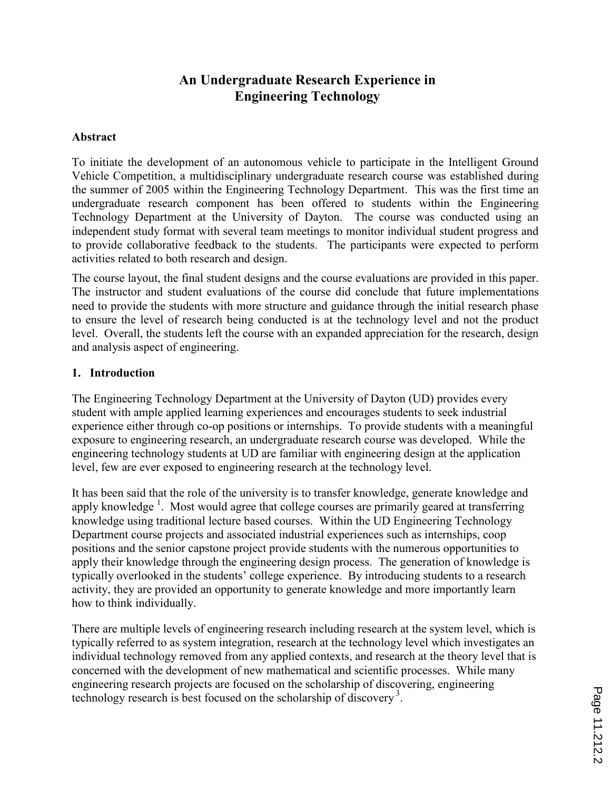# An Undergraduate Research Experience in Engineering Technology

### Abstract

To initiate the development of an autonomous vehicle to participate in the Intelligent Ground Vehicle Competition, a multidisciplinary undergraduate research course was established during the summer of 2005 within the Engineering Technology Department. This was the first time an undergraduate research component has been offered to students within the Engineering Technology Department at the University of Dayton. The course was conducted using an independent study format with several team meetings to monitor individual student progress and to provide collaborative feedback to the students. The participants were expected to perform activities related to both research and design.

The course layout, the final student designs and the course evaluations are provided in this paper. The instructor and student evaluations of the course did conclude that future implementations need to provide the students with more structure and guidance through the initial research phase to ensure the level of research being conducted is at the technology level and not the product level. Overall, the students left the course with an expanded appreciation for the research, design and analysis aspect of engineering.

#### 1. Introduction

The Engineering Technology Department at the University of Dayton (UD) provides every student with ample applied learning experiences and encourages students to seek industrial experience either through co-op positions or internships. To provide students with a meaningful exposure to engineering research, an undergraduate research course was developed. While the engineering technology students at UD are familiar with engineering design at the application level, few are ever exposed to engineering research at the technology level.

It has been said that the role of the university is to transfer knowledge, generate knowledge and apply knowledge<sup>1</sup>. Most would agree that college courses are primarily geared at transferring knowledge using traditional lecture based courses. Within the UD Engineering Technology Department course projects and associated industrial experiences such as internships, coop positions and the senior capstone project provide students with the numerous opportunities to apply their knowledge through the engineering design process. The generation of knowledge is typically overlooked in the students' college experience. By introducing students to a research activity, they are provided an opportunity to generate knowledge and more importantly learn how to think individually.

There are multiple levels of engineering research including research at the system level, which is typically referred to as system integration, research at the technology level which investigates an individual technology removed from any applied contexts, and research at the theory level that is concerned with the development of new mathematical and scientific processes. While many engineering research projects are focused on the scholarship of discovering, engineering technology research is best focused on the scholarship of discovery<sup>3</sup>.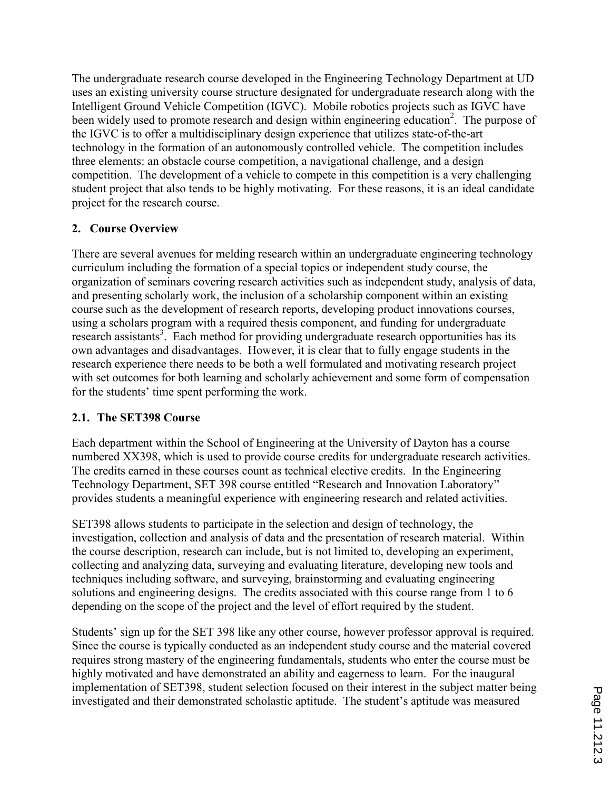The undergraduate research course developed in the Engineering Technology Department at UD uses an existing university course structure designated for undergraduate research along with the Intelligent Ground Vehicle Competition (IGVC). Mobile robotics projects such as IGVC have been widely used to promote research and design within engineering education<sup>2</sup>. The purpose of the IGVC is to offer a multidisciplinary design experience that utilizes state-of-the-art technology in the formation of an autonomously controlled vehicle. The competition includes three elements: an obstacle course competition, a navigational challenge, and a design competition. The development of a vehicle to compete in this competition is a very challenging student project that also tends to be highly motivating. For these reasons, it is an ideal candidate project for the research course.

## 2. Course Overview

There are several avenues for melding research within an undergraduate engineering technology curriculum including the formation of a special topics or independent study course, the organization of seminars covering research activities such as independent study, analysis of data, and presenting scholarly work, the inclusion of a scholarship component within an existing course such as the development of research reports, developing product innovations courses, using a scholars program with a required thesis component, and funding for undergraduate research assistants<sup>3</sup>. Each method for providing undergraduate research opportunities has its own advantages and disadvantages. However, it is clear that to fully engage students in the research experience there needs to be both a well formulated and motivating research project with set outcomes for both learning and scholarly achievement and some form of compensation for the students' time spent performing the work.

## 2.1. The SET398 Course

Each department within the School of Engineering at the University of Dayton has a course numbered XX398, which is used to provide course credits for undergraduate research activities. The credits earned in these courses count as technical elective credits. In the Engineering Technology Department, SET 398 course entitled "Research and Innovation Laboratory" provides students a meaningful experience with engineering research and related activities.

SET398 allows students to participate in the selection and design of technology, the investigation, collection and analysis of data and the presentation of research material. Within the course description, research can include, but is not limited to, developing an experiment, collecting and analyzing data, surveying and evaluating literature, developing new tools and techniques including software, and surveying, brainstorming and evaluating engineering solutions and engineering designs. The credits associated with this course range from 1 to 6 depending on the scope of the project and the level of effort required by the student.

Students' sign up for the SET 398 like any other course, however professor approval is required. Since the course is typically conducted as an independent study course and the material covered requires strong mastery of the engineering fundamentals, students who enter the course must be highly motivated and have demonstrated an ability and eagerness to learn. For the inaugural implementation of SET398, student selection focused on their interest in the subject matter being investigated and their demonstrated scholastic aptitude. The student's aptitude was measured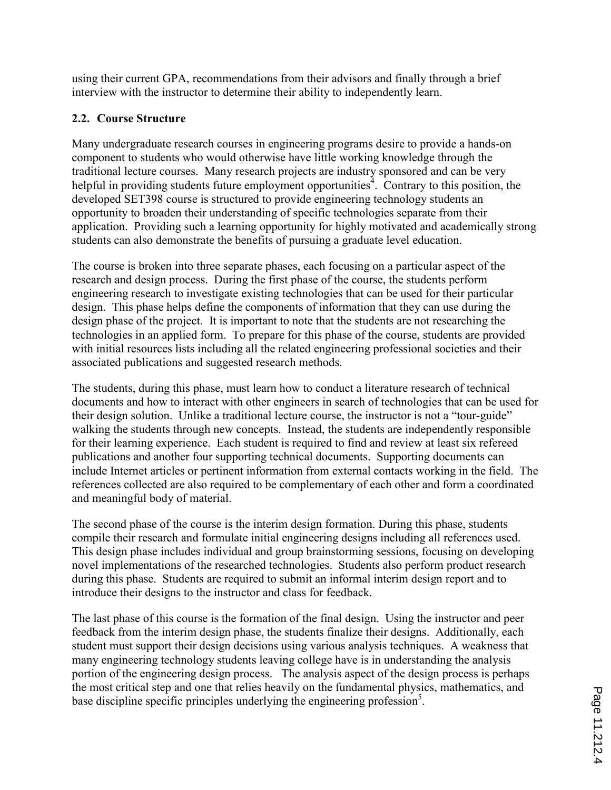using their current GPA, recommendations from their advisors and finally through a brief interview with the instructor to determine their ability to independently learn.

## 2.2. Course Structure

Many undergraduate research courses in engineering programs desire to provide a hands-on component to students who would otherwise have little working knowledge through the traditional lecture courses. Many research projects are industry sponsored and can be very helpful in providing students future employment opportunities<sup>4</sup>. Contrary to this position, the developed SET398 course is structured to provide engineering technology students an opportunity to broaden their understanding of specific technologies separate from their application. Providing such a learning opportunity for highly motivated and academically strong students can also demonstrate the benefits of pursuing a graduate level education.

The course is broken into three separate phases, each focusing on a particular aspect of the research and design process. During the first phase of the course, the students perform engineering research to investigate existing technologies that can be used for their particular design. This phase helps define the components of information that they can use during the design phase of the project. It is important to note that the students are not researching the technologies in an applied form. To prepare for this phase of the course, students are provided with initial resources lists including all the related engineering professional societies and their associated publications and suggested research methods.

The students, during this phase, must learn how to conduct a literature research of technical documents and how to interact with other engineers in search of technologies that can be used for their design solution. Unlike a traditional lecture course, the instructor is not a "tour-guide" walking the students through new concepts. Instead, the students are independently responsible for their learning experience. Each student is required to find and review at least six refereed publications and another four supporting technical documents. Supporting documents can include Internet articles or pertinent information from external contacts working in the field. The references collected are also required to be complementary of each other and form a coordinated and meaningful body of material.

The second phase of the course is the interim design formation. During this phase, students compile their research and formulate initial engineering designs including all references used. This design phase includes individual and group brainstorming sessions, focusing on developing novel implementations of the researched technologies. Students also perform product research during this phase. Students are required to submit an informal interim design report and to introduce their designs to the instructor and class for feedback.

The last phase of this course is the formation of the final design. Using the instructor and peer feedback from the interim design phase, the students finalize their designs. Additionally, each student must support their design decisions using various analysis techniques. A weakness that many engineering technology students leaving college have is in understanding the analysis portion of the engineering design process. The analysis aspect of the design process is perhaps the most critical step and one that relies heavily on the fundamental physics, mathematics, and base discipline specific principles underlying the engineering profession<sup>5</sup>.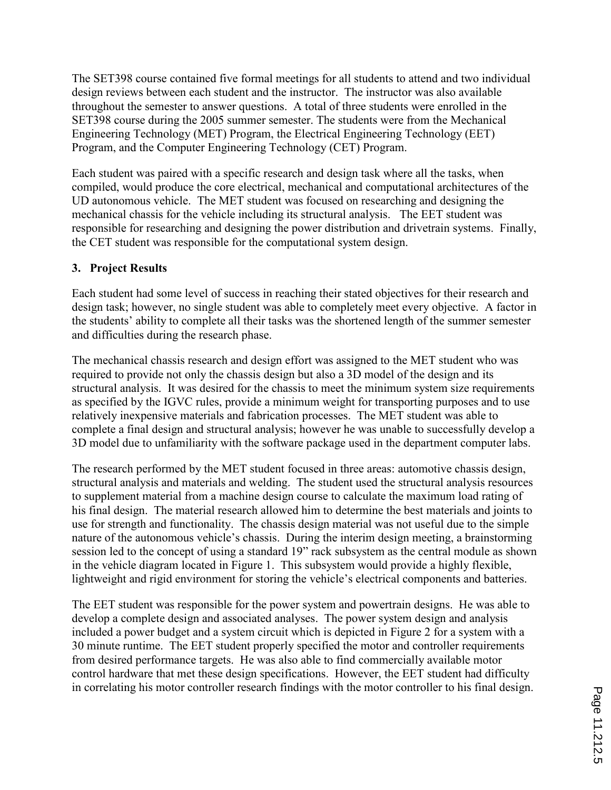The SET398 course contained five formal meetings for all students to attend and two individual design reviews between each student and the instructor. The instructor was also available throughout the semester to answer questions. A total of three students were enrolled in the SET398 course during the 2005 summer semester. The students were from the Mechanical Engineering Technology (MET) Program, the Electrical Engineering Technology (EET) Program, and the Computer Engineering Technology (CET) Program.

Each student was paired with a specific research and design task where all the tasks, when compiled, would produce the core electrical, mechanical and computational architectures of the UD autonomous vehicle. The MET student was focused on researching and designing the mechanical chassis for the vehicle including its structural analysis. The EET student was responsible for researching and designing the power distribution and drivetrain systems. Finally, the CET student was responsible for the computational system design.

### 3. Project Results

Each student had some level of success in reaching their stated objectives for their research and design task; however, no single student was able to completely meet every objective. A factor in the students' ability to complete all their tasks was the shortened length of the summer semester and difficulties during the research phase.

The mechanical chassis research and design effort was assigned to the MET student who was required to provide not only the chassis design but also a 3D model of the design and its structural analysis. It was desired for the chassis to meet the minimum system size requirements as specified by the IGVC rules, provide a minimum weight for transporting purposes and to use relatively inexpensive materials and fabrication processes. The MET student was able to complete a final design and structural analysis; however he was unable to successfully develop a 3D model due to unfamiliarity with the software package used in the department computer labs.

The research performed by the MET student focused in three areas: automotive chassis design, structural analysis and materials and welding. The student used the structural analysis resources to supplement material from a machine design course to calculate the maximum load rating of his final design. The material research allowed him to determine the best materials and joints to use for strength and functionality. The chassis design material was not useful due to the simple nature of the autonomous vehicle's chassis. During the interim design meeting, a brainstorming session led to the concept of using a standard 19" rack subsystem as the central module as shown in the vehicle diagram located in Figure 1. This subsystem would provide a highly flexible, lightweight and rigid environment for storing the vehicle's electrical components and batteries.

The EET student was responsible for the power system and powertrain designs. He was able to develop a complete design and associated analyses. The power system design and analysis included a power budget and a system circuit which is depicted in Figure 2 for a system with a 30 minute runtime. The EET student properly specified the motor and controller requirements from desired performance targets. He was also able to find commercially available motor control hardware that met these design specifications. However, the EET student had difficulty in correlating his motor controller research findings with the motor controller to his final design.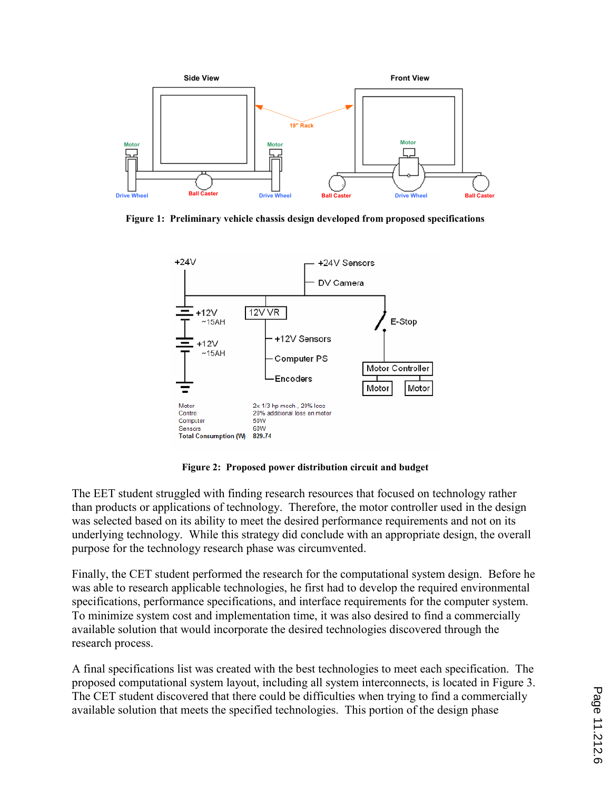

Figure 1: Preliminary vehicle chassis design developed from proposed specifications



Figure 2: Proposed power distribution circuit and budget

The EET student struggled with finding research resources that focused on technology rather than products or applications of technology. Therefore, the motor controller used in the design was selected based on its ability to meet the desired performance requirements and not on its underlying technology. While this strategy did conclude with an appropriate design, the overall purpose for the technology research phase was circumvented.

Finally, the CET student performed the research for the computational system design. Before he was able to research applicable technologies, he first had to develop the required environmental specifications, performance specifications, and interface requirements for the computer system. To minimize system cost and implementation time, it was also desired to find a commercially available solution that would incorporate the desired technologies discovered through the research process.

A final specifications list was created with the best technologies to meet each specification. The proposed computational system layout, including all system interconnects, is located in Figure 3. The CET student discovered that there could be difficulties when trying to find a commercially available solution that meets the specified technologies. This portion of the design phase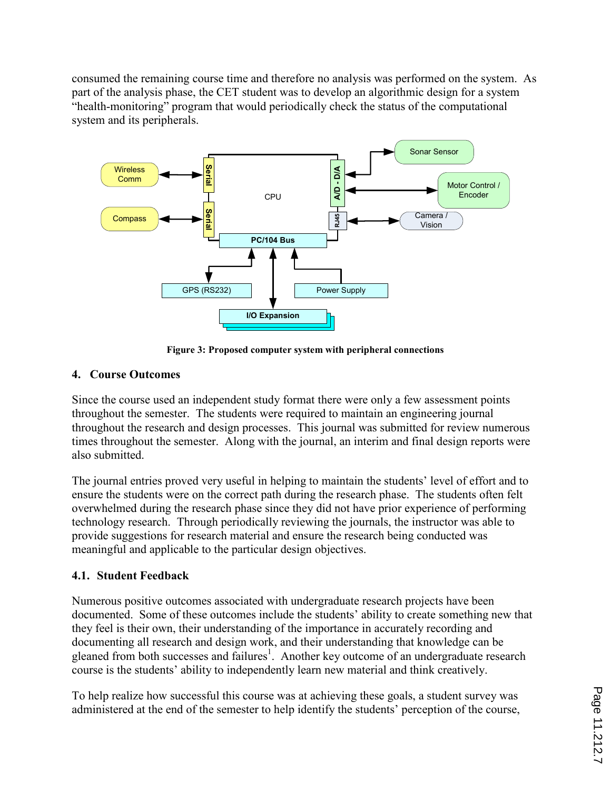consumed the remaining course time and therefore no analysis was performed on the system. As part of the analysis phase, the CET student was to develop an algorithmic design for a system "health-monitoring" program that would periodically check the status of the computational system and its peripherals.



Figure 3: Proposed computer system with peripheral connections

### 4. Course Outcomes

Since the course used an independent study format there were only a few assessment points throughout the semester. The students were required to maintain an engineering journal throughout the research and design processes. This journal was submitted for review numerous times throughout the semester. Along with the journal, an interim and final design reports were also submitted.

The journal entries proved very useful in helping to maintain the students' level of effort and to ensure the students were on the correct path during the research phase. The students often felt overwhelmed during the research phase since they did not have prior experience of performing technology research. Through periodically reviewing the journals, the instructor was able to provide suggestions for research material and ensure the research being conducted was meaningful and applicable to the particular design objectives.

## 4.1. Student Feedback

Numerous positive outcomes associated with undergraduate research projects have been documented. Some of these outcomes include the students' ability to create something new that they feel is their own, their understanding of the importance in accurately recording and documenting all research and design work, and their understanding that knowledge can be gleaned from both successes and failures<sup>1</sup>. Another key outcome of an undergraduate research course is the students' ability to independently learn new material and think creatively.

To help realize how successful this course was at achieving these goals, a student survey was administered at the end of the semester to help identify the students' perception of the course,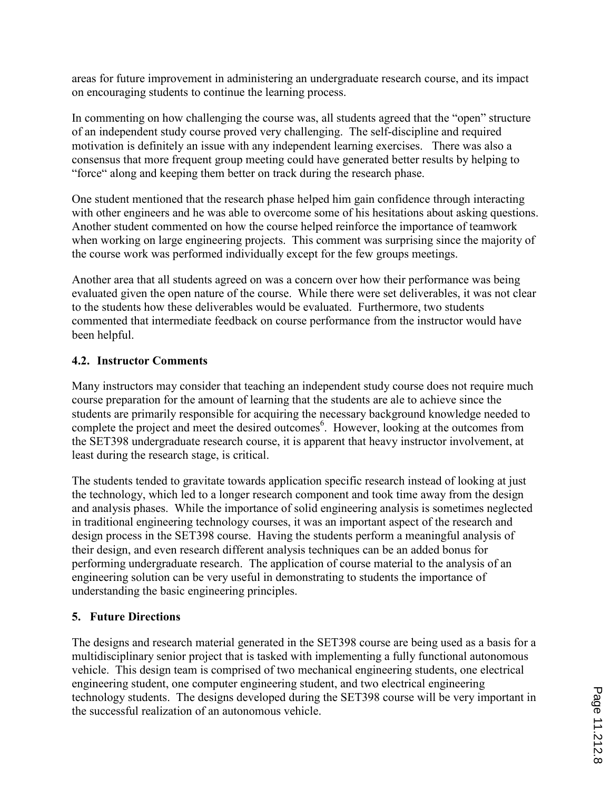areas for future improvement in administering an undergraduate research course, and its impact on encouraging students to continue the learning process.

In commenting on how challenging the course was, all students agreed that the "open" structure of an independent study course proved very challenging. The self-discipline and required motivation is definitely an issue with any independent learning exercises. There was also a consensus that more frequent group meeting could have generated better results by helping to "force" along and keeping them better on track during the research phase.

One student mentioned that the research phase helped him gain confidence through interacting with other engineers and he was able to overcome some of his hesitations about asking questions. Another student commented on how the course helped reinforce the importance of teamwork when working on large engineering projects. This comment was surprising since the majority of the course work was performed individually except for the few groups meetings.

Another area that all students agreed on was a concern over how their performance was being evaluated given the open nature of the course. While there were set deliverables, it was not clear to the students how these deliverables would be evaluated. Furthermore, two students commented that intermediate feedback on course performance from the instructor would have been helpful.

## 4.2. Instructor Comments

Many instructors may consider that teaching an independent study course does not require much course preparation for the amount of learning that the students are ale to achieve since the students are primarily responsible for acquiring the necessary background knowledge needed to complete the project and meet the desired outcomes<sup>6</sup>. However, looking at the outcomes from the SET398 undergraduate research course, it is apparent that heavy instructor involvement, at least during the research stage, is critical.

The students tended to gravitate towards application specific research instead of looking at just the technology, which led to a longer research component and took time away from the design and analysis phases. While the importance of solid engineering analysis is sometimes neglected in traditional engineering technology courses, it was an important aspect of the research and design process in the SET398 course. Having the students perform a meaningful analysis of their design, and even research different analysis techniques can be an added bonus for performing undergraduate research. The application of course material to the analysis of an engineering solution can be very useful in demonstrating to students the importance of understanding the basic engineering principles.

### 5. Future Directions

The designs and research material generated in the SET398 course are being used as a basis for a multidisciplinary senior project that is tasked with implementing a fully functional autonomous vehicle. This design team is comprised of two mechanical engineering students, one electrical engineering student, one computer engineering student, and two electrical engineering technology students. The designs developed during the SET398 course will be very important in the successful realization of an autonomous vehicle.